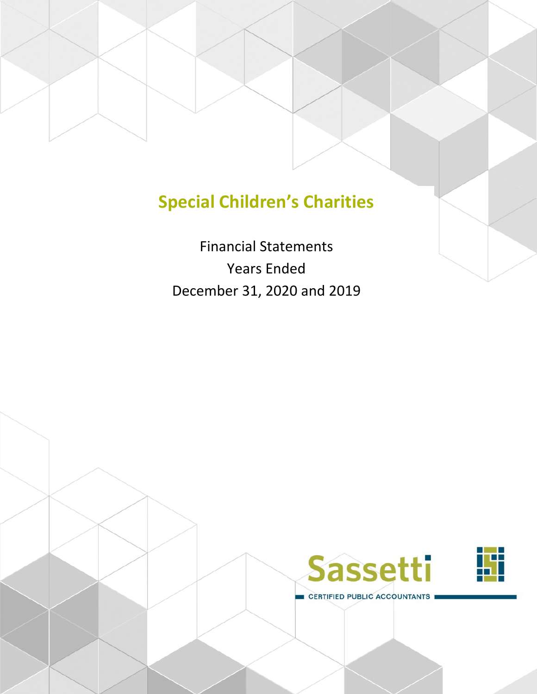# **Special Children's Charities**

Financial Statements Years Ended December 31, 2020 and 2019



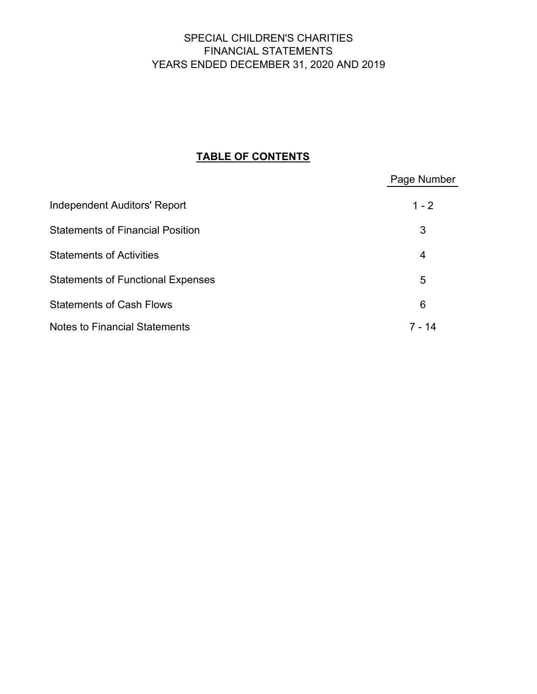# **TABLE OF CONTENTS**

|                                          | Page Number |
|------------------------------------------|-------------|
| <b>Independent Auditors' Report</b>      | $1 - 2$     |
| <b>Statements of Financial Position</b>  | 3           |
| <b>Statements of Activities</b>          | 4           |
| <b>Statements of Functional Expenses</b> | 5           |
| <b>Statements of Cash Flows</b>          | 6           |
| <b>Notes to Financial Statements</b>     | 7 - 14      |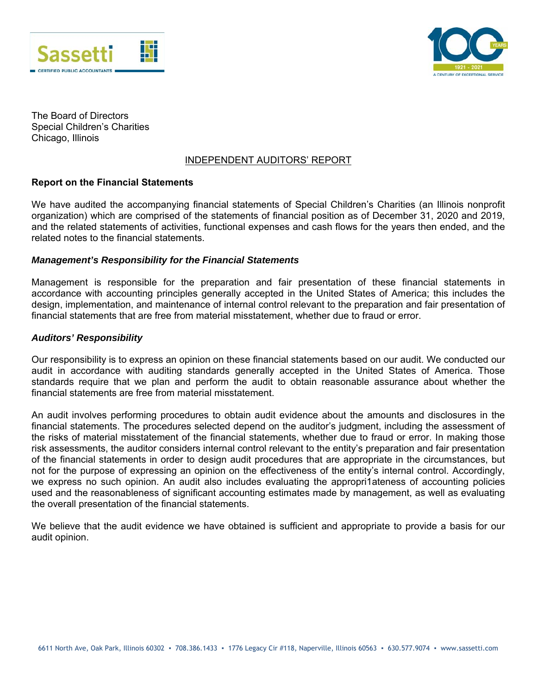



The Board of Directors Special Children's Charities Chicago, Illinois

#### INDEPENDENT AUDITORS' REPORT

#### **Report on the Financial Statements**

We have audited the accompanying financial statements of Special Children's Charities (an Illinois nonprofit organization) which are comprised of the statements of financial position as of December 31, 2020 and 2019, and the related statements of activities, functional expenses and cash flows for the years then ended, and the related notes to the financial statements.

#### *Management's Responsibility for the Financial Statements*

Management is responsible for the preparation and fair presentation of these financial statements in accordance with accounting principles generally accepted in the United States of America; this includes the design, implementation, and maintenance of internal control relevant to the preparation and fair presentation of financial statements that are free from material misstatement, whether due to fraud or error.

#### *Auditors' Responsibility*

Our responsibility is to express an opinion on these financial statements based on our audit. We conducted our audit in accordance with auditing standards generally accepted in the United States of America. Those standards require that we plan and perform the audit to obtain reasonable assurance about whether the financial statements are free from material misstatement.

An audit involves performing procedures to obtain audit evidence about the amounts and disclosures in the financial statements. The procedures selected depend on the auditor's judgment, including the assessment of the risks of material misstatement of the financial statements, whether due to fraud or error. In making those risk assessments, the auditor considers internal control relevant to the entity's preparation and fair presentation of the financial statements in order to design audit procedures that are appropriate in the circumstances, but not for the purpose of expressing an opinion on the effectiveness of the entity's internal control. Accordingly, we express no such opinion. An audit also includes evaluating the appropri1ateness of accounting policies used and the reasonableness of significant accounting estimates made by management, as well as evaluating the overall presentation of the financial statements.

We believe that the audit evidence we have obtained is sufficient and appropriate to provide a basis for our audit opinion.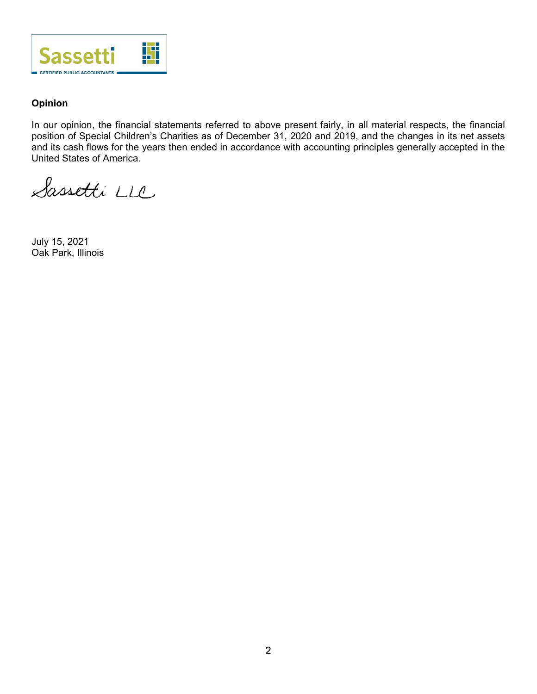

# **Opinion**

In our opinion, the financial statements referred to above present fairly, in all material respects, the financial position of Special Children's Charities as of December 31, 2020 and 2019, and the changes in its net assets and its cash flows for the years then ended in accordance with accounting principles generally accepted in the United States of America.

Sassetti LLC

July 15, 2021 Oak Park, Illinois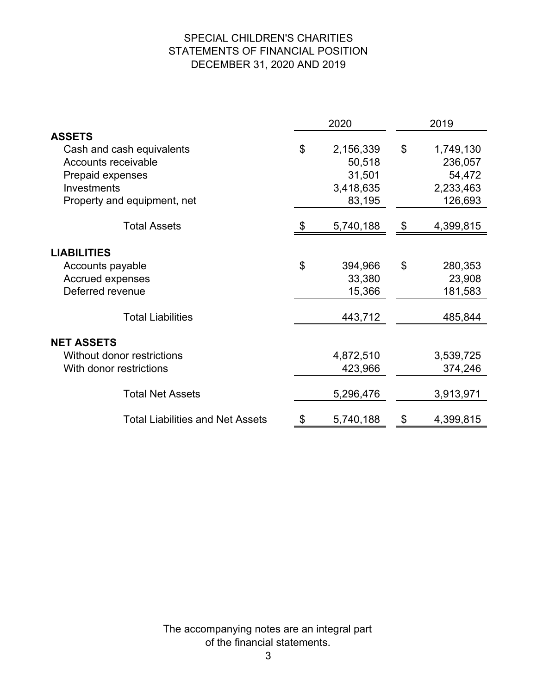# SPECIAL CHILDREN'S CHARITIES STATEMENTS OF FINANCIAL POSITION DECEMBER 31, 2020 AND 2019

|                                         | 2020 |           |    | 2019      |  |  |
|-----------------------------------------|------|-----------|----|-----------|--|--|
| <b>ASSETS</b>                           |      |           |    |           |  |  |
| Cash and cash equivalents               | \$   | 2,156,339 | \$ | 1,749,130 |  |  |
| Accounts receivable                     |      | 50,518    |    | 236,057   |  |  |
| Prepaid expenses                        |      | 31,501    |    | 54,472    |  |  |
| Investments                             |      | 3,418,635 |    | 2,233,463 |  |  |
| Property and equipment, net             |      | 83,195    |    | 126,693   |  |  |
| <b>Total Assets</b>                     | \$   | 5,740,188 | \$ | 4,399,815 |  |  |
| <b>LIABILITIES</b>                      |      |           |    |           |  |  |
| Accounts payable                        | \$   | 394,966   | \$ | 280,353   |  |  |
| <b>Accrued expenses</b>                 |      | 33,380    |    | 23,908    |  |  |
| Deferred revenue                        |      | 15,366    |    | 181,583   |  |  |
| <b>Total Liabilities</b>                |      | 443,712   |    | 485,844   |  |  |
| <b>NET ASSETS</b>                       |      |           |    |           |  |  |
| Without donor restrictions              |      | 4,872,510 |    | 3,539,725 |  |  |
| With donor restrictions                 |      | 423,966   |    | 374,246   |  |  |
| <b>Total Net Assets</b>                 |      | 5,296,476 |    | 3,913,971 |  |  |
| <b>Total Liabilities and Net Assets</b> | \$   | 5,740,188 | \$ | 4,399,815 |  |  |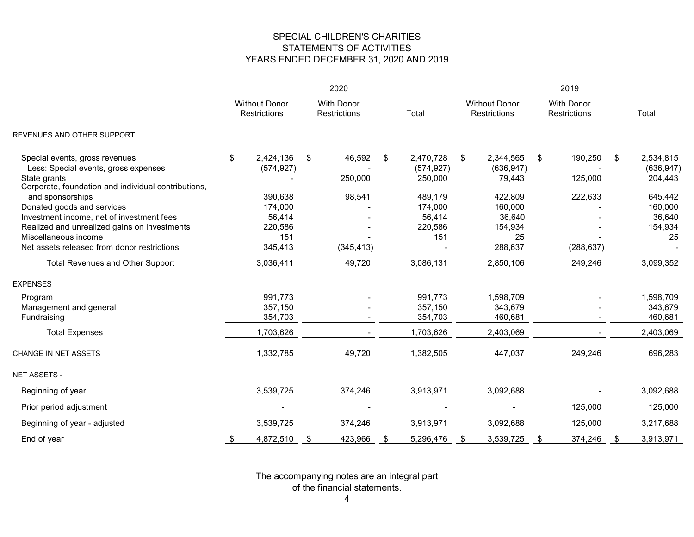#### SPECIAL CHILDREN'S CHARITIES STATEMENTS OF ACTIVITIESYEARS ENDED DECEMBER 31, 2020 AND 2019

|                                                                                                                                               | 2020 |                                      |    |                                   |    |                                    | 2019 |                                      |     |                                   |    |                                    |
|-----------------------------------------------------------------------------------------------------------------------------------------------|------|--------------------------------------|----|-----------------------------------|----|------------------------------------|------|--------------------------------------|-----|-----------------------------------|----|------------------------------------|
|                                                                                                                                               |      | <b>Without Donor</b><br>Restrictions |    | <b>With Donor</b><br>Restrictions |    | Total                              |      | <b>Without Donor</b><br>Restrictions |     | <b>With Donor</b><br>Restrictions |    | Total                              |
| REVENUES AND OTHER SUPPORT                                                                                                                    |      |                                      |    |                                   |    |                                    |      |                                      |     |                                   |    |                                    |
| Special events, gross revenues<br>Less: Special events, gross expenses<br>State grants<br>Corporate, foundation and individual contributions, | \$   | 2,424,136<br>(574, 927)              | \$ | 46,592<br>250,000                 | \$ | 2,470,728<br>(574, 927)<br>250,000 | \$   | 2,344,565<br>(636, 947)<br>79,443    | -\$ | 190,250<br>125,000                | S. | 2,534,815<br>(636, 947)<br>204,443 |
| and sponsorships<br>Donated goods and services<br>Investment income, net of investment fees                                                   |      | 390,638<br>174,000<br>56,414         |    | 98,541                            |    | 489,179<br>174,000<br>56,414       |      | 422,809<br>160,000<br>36,640         |     | 222,633                           |    | 645,442<br>160,000<br>36,640       |
| Realized and unrealized gains on investments<br>Miscellaneous income<br>Net assets released from donor restrictions                           |      | 220,586<br>151<br>345,413            |    | (345, 413)                        |    | 220,586<br>151                     |      | 154,934<br>25<br>288,637             |     | (288, 637)                        |    | 154,934<br>25                      |
| <b>Total Revenues and Other Support</b>                                                                                                       |      | 3,036,411                            |    | 49,720                            |    | 3,086,131                          |      | 2,850,106                            |     | 249,246                           |    | 3,099,352                          |
| <b>EXPENSES</b>                                                                                                                               |      |                                      |    |                                   |    |                                    |      |                                      |     |                                   |    |                                    |
| Program<br>Management and general<br>Fundraising                                                                                              |      | 991,773<br>357,150<br>354,703        |    |                                   |    | 991,773<br>357,150<br>354,703      |      | 1,598,709<br>343,679<br>460,681      |     |                                   |    | 1,598,709<br>343,679<br>460,681    |
| <b>Total Expenses</b>                                                                                                                         |      | 1,703,626                            |    |                                   |    | 1,703,626                          |      | 2,403,069                            |     |                                   |    | 2,403,069                          |
| CHANGE IN NET ASSETS                                                                                                                          |      | 1,332,785                            |    | 49,720                            |    | 1,382,505                          |      | 447,037                              |     | 249,246                           |    | 696,283                            |
| NET ASSETS -                                                                                                                                  |      |                                      |    |                                   |    |                                    |      |                                      |     |                                   |    |                                    |
| Beginning of year                                                                                                                             |      | 3,539,725                            |    | 374,246                           |    | 3,913,971                          |      | 3,092,688                            |     |                                   |    | 3,092,688                          |
| Prior period adjustment                                                                                                                       |      |                                      |    |                                   |    |                                    |      |                                      |     | 125,000                           |    | 125,000                            |
| Beginning of year - adjusted                                                                                                                  |      | 3,539,725                            |    | 374,246                           |    | 3,913,971                          |      | 3,092,688                            |     | 125,000                           |    | 3,217,688                          |
| End of year                                                                                                                                   | \$   | 4,872,510                            | \$ | 423,966                           | \$ | 5,296,476                          | \$   | 3,539,725                            | \$  | 374,246                           | \$ | 3,913,971                          |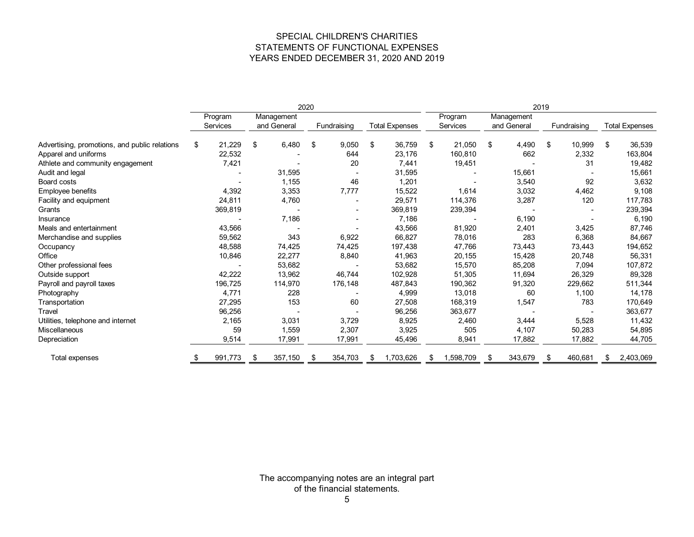#### SPECIAL CHILDREN'S CHARITIES STATEMENTS OF FUNCTIONAL EXPENSES YEARS ENDED DECEMBER 31, 2020 AND 2019

|                                               |    |          |               | 2020 |                          |    |                       |                 | 2019          |              |                       |
|-----------------------------------------------|----|----------|---------------|------|--------------------------|----|-----------------------|-----------------|---------------|--------------|-----------------------|
|                                               |    | Program  | Management    |      |                          |    |                       | Program         | Management    |              |                       |
|                                               |    | Services | and General   |      | Fundraising              |    | <b>Total Expenses</b> | Services        | and General   | Fundraising  | <b>Total Expenses</b> |
| Advertising, promotions, and public relations | \$ | 21,229   | \$<br>6,480   | \$   | 9,050                    | \$ | 36,759                | \$<br>21,050    | \$<br>4,490   | \$<br>10,999 | \$<br>36,539          |
| Apparel and uniforms                          |    | 22,532   |               |      | 644                      |    | 23,176                | 160,810         | 662           | 2,332        | 163,804               |
| Athlete and community engagement              |    | 7,421    |               |      | 20                       |    | 7,441                 | 19,451          |               | 31           | 19,482                |
| Audit and legal                               |    |          | 31,595        |      |                          |    | 31,595                |                 | 15,661        |              | 15,661                |
| Board costs                                   |    |          | 1,155         |      | 46                       |    | 1,201                 |                 | 3,540         | 92           | 3,632                 |
| Employee benefits                             |    | 4,392    | 3,353         |      | 7,777                    |    | 15,522                | 1,614           | 3,032         | 4,462        | 9,108                 |
| Facility and equipment                        |    | 24,811   | 4,760         |      |                          |    | 29,571                | 114,376         | 3,287         | 120          | 117,783               |
| Grants                                        |    | 369,819  |               |      |                          |    | 369,819               | 239,394         |               |              | 239,394               |
| Insurance                                     |    |          | 7,186         |      |                          |    | 7,186                 |                 | 6,190         |              | 6,190                 |
| Meals and entertainment                       |    | 43,566   |               |      |                          |    | 43,566                | 81,920          | 2,401         | 3,425        | 87,746                |
| Merchandise and supplies                      |    | 59,562   | 343           |      | 6,922                    |    | 66,827                | 78,016          | 283           | 6,368        | 84,667                |
| Occupancy                                     |    | 48,588   | 74,425        |      | 74,425                   |    | 197,438               | 47,766          | 73,443        | 73,443       | 194,652               |
| Office                                        |    | 10,846   | 22,277        |      | 8,840                    |    | 41,963                | 20,155          | 15,428        | 20,748       | 56,331                |
| Other professional fees                       |    |          | 53,682        |      |                          |    | 53,682                | 15,570          | 85,208        | 7,094        | 107,872               |
| Outside support                               |    | 42,222   | 13,962        |      | 46,744                   |    | 102,928               | 51,305          | 11,694        | 26,329       | 89,328                |
| Payroll and payroll taxes                     |    | 196,725  | 114,970       |      | 176,148                  |    | 487,843               | 190,362         | 91,320        | 229,662      | 511,344               |
| Photography                                   |    | 4,771    | 228           |      | $\overline{\phantom{a}}$ |    | 4,999                 | 13,018          | 60            | 1,100        | 14,178                |
| Transportation                                |    | 27,295   | 153           |      | 60                       |    | 27,508                | 168,319         | 1,547         | 783          | 170,649               |
| Travel                                        |    | 96,256   |               |      |                          |    | 96,256                | 363,677         |               |              | 363,677               |
| Utilities, telephone and internet             |    | 2,165    | 3,031         |      | 3,729                    |    | 8,925                 | 2,460           | 3,444         | 5,528        | 11,432                |
| Miscellaneous                                 |    | 59       | 1,559         |      | 2,307                    |    | 3,925                 | 505             | 4,107         | 50,283       | 54,895                |
| Depreciation                                  |    | 9,514    | 17,991        |      | 17,991                   |    | 45,496                | 8,941           | 17,882        | 17,882       | 44,705                |
| Total expenses                                | S  | 991,773  | \$<br>357,150 | \$   | 354,703                  | S  | 1,703,626             | \$<br>1,598,709 | \$<br>343,679 | 460,681      | \$<br>2,403,069       |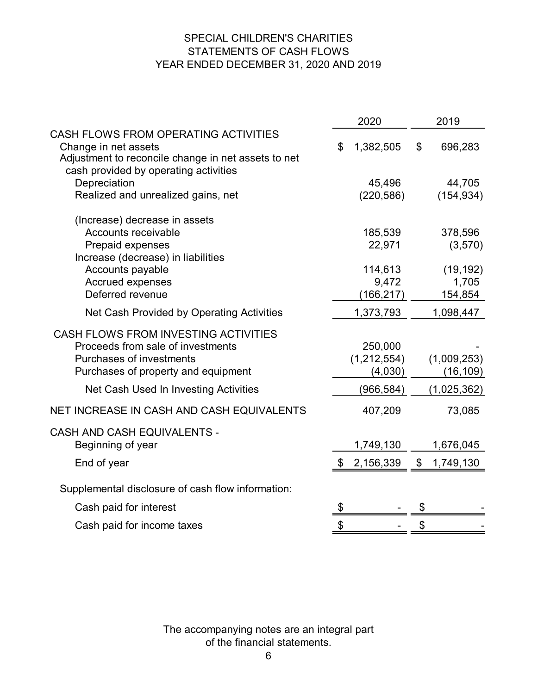# SPECIAL CHILDREN'S CHARITIES STATEMENTS OF CASH FLOWS YEAR ENDED DECEMBER 31, 2020 AND 2019

|                                                                                                                                                              | 2020                              | 2019                     |
|--------------------------------------------------------------------------------------------------------------------------------------------------------------|-----------------------------------|--------------------------|
| CASH FLOWS FROM OPERATING ACTIVITIES<br>Change in net assets<br>Adjustment to reconcile change in net assets to net<br>cash provided by operating activities | \$<br>1,382,505                   | \$<br>696,283            |
| Depreciation                                                                                                                                                 | 45,496                            | 44,705                   |
| Realized and unrealized gains, net                                                                                                                           | (220, 586)                        | (154, 934)               |
| (Increase) decrease in assets                                                                                                                                |                                   |                          |
| Accounts receivable                                                                                                                                          | 185,539                           | 378,596                  |
| <b>Prepaid expenses</b><br>Increase (decrease) in liabilities                                                                                                | 22,971                            | (3,570)                  |
| Accounts payable                                                                                                                                             | 114,613                           | (19, 192)                |
| <b>Accrued expenses</b>                                                                                                                                      | 9,472                             | 1,705                    |
| Deferred revenue                                                                                                                                             | (166, 217)                        | 154,854                  |
| Net Cash Provided by Operating Activities                                                                                                                    | 1,373,793                         | 1,098,447                |
| <b>CASH FLOWS FROM INVESTING ACTIVITIES</b><br>Proceeds from sale of investments<br>Purchases of investments<br>Purchases of property and equipment          | 250,000<br>(1,212,554)<br>(4,030) | (1,009,253)<br>(16, 109) |
| Net Cash Used In Investing Activities                                                                                                                        | (966, 584)                        | (1,025,362)              |
| NET INCREASE IN CASH AND CASH EQUIVALENTS                                                                                                                    | 407,209                           | 73,085                   |
| <b>CASH AND CASH EQUIVALENTS -</b><br>Beginning of year                                                                                                      | 1,749,130                         | 1,676,045                |
| End of year                                                                                                                                                  | \$<br>2,156,339                   | \$<br>1,749,130          |
| Supplemental disclosure of cash flow information:                                                                                                            |                                   |                          |
| Cash paid for interest                                                                                                                                       | \$                                | \$                       |
| Cash paid for income taxes                                                                                                                                   | \$                                | \$                       |
|                                                                                                                                                              |                                   |                          |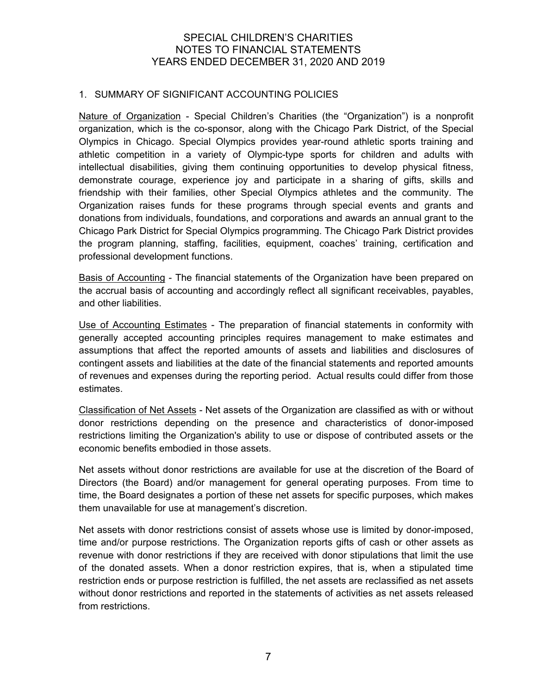#### 1. SUMMARY OF SIGNIFICANT ACCOUNTING POLICIES

Nature of Organization - Special Children's Charities (the "Organization") is a nonprofit organization, which is the co-sponsor, along with the Chicago Park District, of the Special Olympics in Chicago. Special Olympics provides year-round athletic sports training and athletic competition in a variety of Olympic-type sports for children and adults with intellectual disabilities, giving them continuing opportunities to develop physical fitness, demonstrate courage, experience joy and participate in a sharing of gifts, skills and friendship with their families, other Special Olympics athletes and the community. The Organization raises funds for these programs through special events and grants and donations from individuals, foundations, and corporations and awards an annual grant to the Chicago Park District for Special Olympics programming. The Chicago Park District provides the program planning, staffing, facilities, equipment, coaches' training, certification and professional development functions.

Basis of Accounting - The financial statements of the Organization have been prepared on the accrual basis of accounting and accordingly reflect all significant receivables, payables, and other liabilities.

Use of Accounting Estimates - The preparation of financial statements in conformity with generally accepted accounting principles requires management to make estimates and assumptions that affect the reported amounts of assets and liabilities and disclosures of contingent assets and liabilities at the date of the financial statements and reported amounts of revenues and expenses during the reporting period. Actual results could differ from those estimates.

Classification of Net Assets - Net assets of the Organization are classified as with or without donor restrictions depending on the presence and characteristics of donor-imposed restrictions limiting the Organization's ability to use or dispose of contributed assets or the economic benefits embodied in those assets.

Net assets without donor restrictions are available for use at the discretion of the Board of Directors (the Board) and/or management for general operating purposes. From time to time, the Board designates a portion of these net assets for specific purposes, which makes them unavailable for use at management's discretion.

Net assets with donor restrictions consist of assets whose use is limited by donor-imposed, time and/or purpose restrictions. The Organization reports gifts of cash or other assets as revenue with donor restrictions if they are received with donor stipulations that limit the use of the donated assets. When a donor restriction expires, that is, when a stipulated time restriction ends or purpose restriction is fulfilled, the net assets are reclassified as net assets without donor restrictions and reported in the statements of activities as net assets released from restrictions.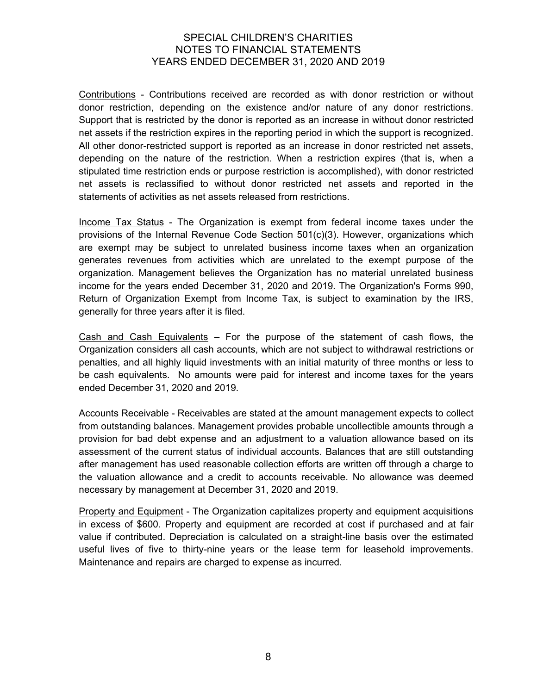Contributions - Contributions received are recorded as with donor restriction or without donor restriction, depending on the existence and/or nature of any donor restrictions. Support that is restricted by the donor is reported as an increase in without donor restricted net assets if the restriction expires in the reporting period in which the support is recognized. All other donor-restricted support is reported as an increase in donor restricted net assets, depending on the nature of the restriction. When a restriction expires (that is, when a stipulated time restriction ends or purpose restriction is accomplished), with donor restricted net assets is reclassified to without donor restricted net assets and reported in the statements of activities as net assets released from restrictions.

Income Tax Status - The Organization is exempt from federal income taxes under the provisions of the Internal Revenue Code Section 501(c)(3). However, organizations which are exempt may be subject to unrelated business income taxes when an organization generates revenues from activities which are unrelated to the exempt purpose of the organization. Management believes the Organization has no material unrelated business income for the years ended December 31, 2020 and 2019. The Organization's Forms 990, Return of Organization Exempt from Income Tax, is subject to examination by the IRS, generally for three years after it is filed.

Cash and Cash Equivalents  $-$  For the purpose of the statement of cash flows, the Organization considers all cash accounts, which are not subject to withdrawal restrictions or penalties, and all highly liquid investments with an initial maturity of three months or less to be cash equivalents. No amounts were paid for interest and income taxes for the years ended December 31, 2020 and 2019.

Accounts Receivable - Receivables are stated at the amount management expects to collect from outstanding balances. Management provides probable uncollectible amounts through a provision for bad debt expense and an adjustment to a valuation allowance based on its assessment of the current status of individual accounts. Balances that are still outstanding after management has used reasonable collection efforts are written off through a charge to the valuation allowance and a credit to accounts receivable. No allowance was deemed necessary by management at December 31, 2020 and 2019.

Property and Equipment - The Organization capitalizes property and equipment acquisitions in excess of \$600. Property and equipment are recorded at cost if purchased and at fair value if contributed. Depreciation is calculated on a straight-line basis over the estimated useful lives of five to thirty-nine years or the lease term for leasehold improvements. Maintenance and repairs are charged to expense as incurred.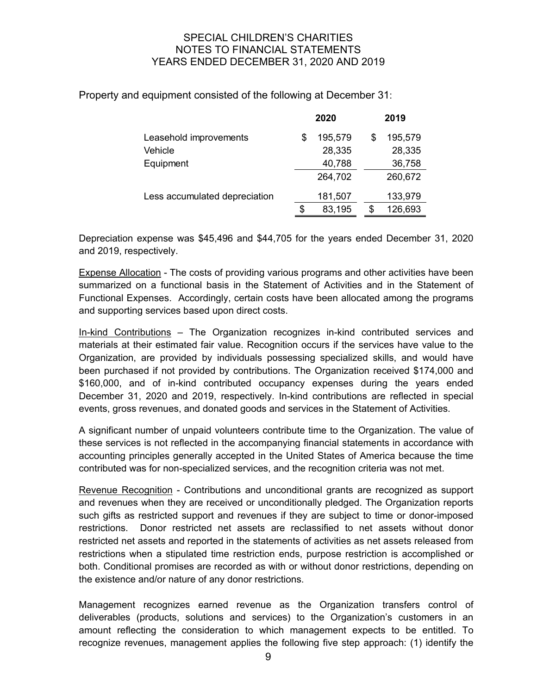|                               |   | 2020    | 2019          |
|-------------------------------|---|---------|---------------|
| Leasehold improvements        | S | 195,579 | \$<br>195,579 |
| Vehicle                       |   | 28,335  | 28,335        |
| Equipment                     |   | 40,788  | 36,758        |
|                               |   | 264,702 | 260,672       |
| Less accumulated depreciation |   | 181,507 | 133,979       |
|                               | S | 83,195  | \$<br>126,693 |

#### Property and equipment consisted of the following at December 31:

Depreciation expense was \$45,496 and \$44,705 for the years ended December 31, 2020 and 2019, respectively.

Expense Allocation - The costs of providing various programs and other activities have been summarized on a functional basis in the Statement of Activities and in the Statement of Functional Expenses. Accordingly, certain costs have been allocated among the programs and supporting services based upon direct costs.

In-kind Contributions – The Organization recognizes in-kind contributed services and materials at their estimated fair value. Recognition occurs if the services have value to the Organization, are provided by individuals possessing specialized skills, and would have been purchased if not provided by contributions. The Organization received \$174,000 and \$160,000, and of in-kind contributed occupancy expenses during the years ended December 31, 2020 and 2019, respectively. In-kind contributions are reflected in special events, gross revenues, and donated goods and services in the Statement of Activities.

A significant number of unpaid volunteers contribute time to the Organization. The value of these services is not reflected in the accompanying financial statements in accordance with accounting principles generally accepted in the United States of America because the time contributed was for non-specialized services, and the recognition criteria was not met.

Revenue Recognition - Contributions and unconditional grants are recognized as support and revenues when they are received or unconditionally pledged. The Organization reports such gifts as restricted support and revenues if they are subject to time or donor-imposed restrictions. Donor restricted net assets are reclassified to net assets without donor restricted net assets and reported in the statements of activities as net assets released from restrictions when a stipulated time restriction ends, purpose restriction is accomplished or both. Conditional promises are recorded as with or without donor restrictions, depending on the existence and/or nature of any donor restrictions.

Management recognizes earned revenue as the Organization transfers control of deliverables (products, solutions and services) to the Organization's customers in an amount reflecting the consideration to which management expects to be entitled. To recognize revenues, management applies the following five step approach: (1) identify the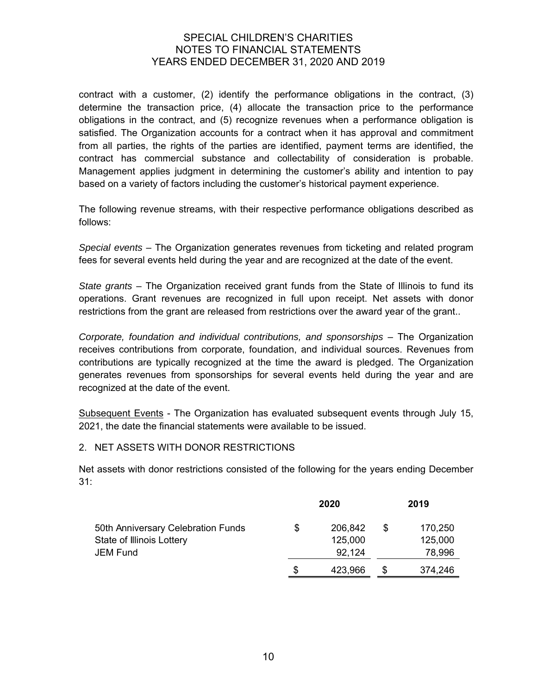contract with a customer, (2) identify the performance obligations in the contract, (3) determine the transaction price, (4) allocate the transaction price to the performance obligations in the contract, and (5) recognize revenues when a performance obligation is satisfied. The Organization accounts for a contract when it has approval and commitment from all parties, the rights of the parties are identified, payment terms are identified, the contract has commercial substance and collectability of consideration is probable. Management applies judgment in determining the customer's ability and intention to pay based on a variety of factors including the customer's historical payment experience.

The following revenue streams, with their respective performance obligations described as follows:

*Special events* – The Organization generates revenues from ticketing and related program fees for several events held during the year and are recognized at the date of the event.

*State grants* – The Organization received grant funds from the State of Illinois to fund its operations. Grant revenues are recognized in full upon receipt. Net assets with donor restrictions from the grant are released from restrictions over the award year of the grant..

*Corporate, foundation and individual contributions, and sponsorships* – The Organization receives contributions from corporate, foundation, and individual sources. Revenues from contributions are typically recognized at the time the award is pledged. The Organization generates revenues from sponsorships for several events held during the year and are recognized at the date of the event.

Subsequent Events - The Organization has evaluated subsequent events through July 15, 2021, the date the financial statements were available to be issued.

#### 2. NET ASSETS WITH DONOR RESTRICTIONS

Net assets with donor restrictions consisted of the following for the years ending December 31:

|                                       |   | 2020              | 2019 |                   |  |  |
|---------------------------------------|---|-------------------|------|-------------------|--|--|
| 50th Anniversary Celebration Funds    | S | 206,842           | \$   | 170,250           |  |  |
| State of Illinois Lottery<br>JEM Fund |   | 125,000<br>92,124 |      | 125,000<br>78,996 |  |  |
|                                       |   | 423,966           |      | 374,246           |  |  |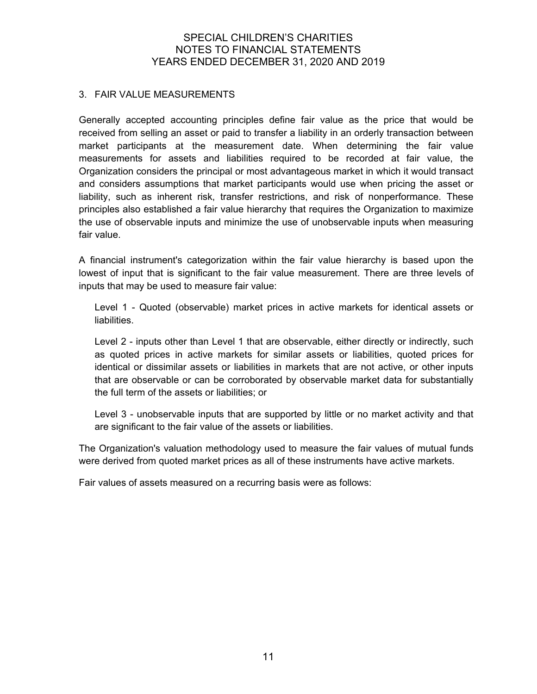#### 3. FAIR VALUE MEASUREMENTS

Generally accepted accounting principles define fair value as the price that would be received from selling an asset or paid to transfer a liability in an orderly transaction between market participants at the measurement date. When determining the fair value measurements for assets and liabilities required to be recorded at fair value, the Organization considers the principal or most advantageous market in which it would transact and considers assumptions that market participants would use when pricing the asset or liability, such as inherent risk, transfer restrictions, and risk of nonperformance. These principles also established a fair value hierarchy that requires the Organization to maximize the use of observable inputs and minimize the use of unobservable inputs when measuring fair value.

A financial instrument's categorization within the fair value hierarchy is based upon the lowest of input that is significant to the fair value measurement. There are three levels of inputs that may be used to measure fair value:

Level 1 - Quoted (observable) market prices in active markets for identical assets or liabilities.

Level 2 - inputs other than Level 1 that are observable, either directly or indirectly, such as quoted prices in active markets for similar assets or liabilities, quoted prices for identical or dissimilar assets or liabilities in markets that are not active, or other inputs that are observable or can be corroborated by observable market data for substantially the full term of the assets or liabilities; or

Level 3 - unobservable inputs that are supported by little or no market activity and that are significant to the fair value of the assets or liabilities.

The Organization's valuation methodology used to measure the fair values of mutual funds were derived from quoted market prices as all of these instruments have active markets.

Fair values of assets measured on a recurring basis were as follows: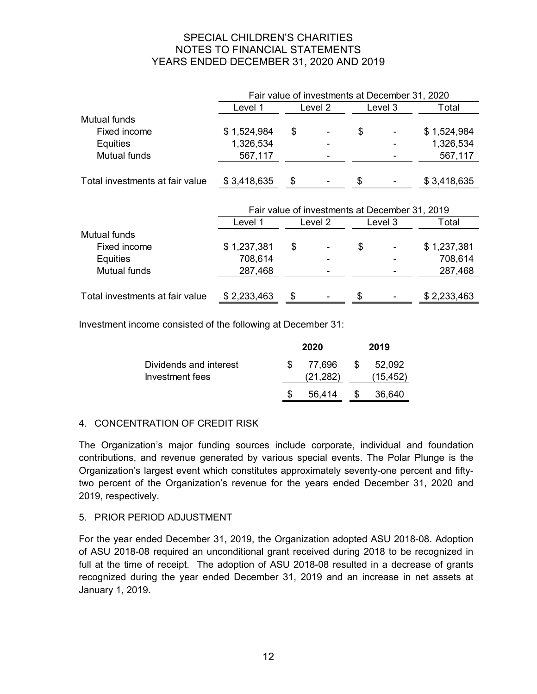|                                 | Fair value of investments at December 31, 2020 |         |                          |         |  |             |  |  |  |
|---------------------------------|------------------------------------------------|---------|--------------------------|---------|--|-------------|--|--|--|
|                                 | Level 1                                        | Level 2 |                          | Level 3 |  | Total       |  |  |  |
| Mutual funds                    |                                                |         |                          |         |  |             |  |  |  |
| Fixed income                    | \$1,524,984                                    | \$      | $\overline{\phantom{0}}$ | \$      |  | \$1,524,984 |  |  |  |
| Equities                        | 1,326,534                                      |         | $\overline{\phantom{a}}$ |         |  | 1,326,534   |  |  |  |
| <b>Mutual funds</b>             | 567,117                                        |         | $\overline{\phantom{a}}$ |         |  | 567,117     |  |  |  |
|                                 |                                                |         |                          |         |  |             |  |  |  |
| Total investments at fair value | \$3,418,635                                    | S       | $\overline{\phantom{a}}$ | S       |  | \$3,418,635 |  |  |  |
|                                 |                                                |         |                          |         |  |             |  |  |  |
|                                 |                                                |         |                          |         |  |             |  |  |  |

|                                 | Fair value of investments at December 31, 2019 |    |                          |     |         |             |  |  |  |  |
|---------------------------------|------------------------------------------------|----|--------------------------|-----|---------|-------------|--|--|--|--|
|                                 | Level 1                                        |    | Level 2                  |     | Level 3 | Total       |  |  |  |  |
| Mutual funds                    |                                                |    |                          |     |         |             |  |  |  |  |
| Fixed income                    | \$1,237,381                                    | \$ | $\overline{a}$           | S   | -       | \$1,237,381 |  |  |  |  |
| Equities                        | 708,614                                        |    | $\overline{\phantom{0}}$ |     |         | 708,614     |  |  |  |  |
| Mutual funds                    | 287,468                                        |    | $\overline{\phantom{0}}$ |     |         | 287,468     |  |  |  |  |
|                                 |                                                |    |                          |     |         |             |  |  |  |  |
| Total investments at fair value | \$2,233,463                                    | S  | $\overline{\phantom{a}}$ | \$. |         | \$2,233,463 |  |  |  |  |

Investment income consisted of the following at December 31:

|                                           | 2020                | 2019 |                    |  |
|-------------------------------------------|---------------------|------|--------------------|--|
| Dividends and interest<br>Investment fees | 77,696<br>(21, 282) |      | 52,092<br>(15,452) |  |
|                                           | 56.414              |      | 36,640             |  |

# 4. CONCENTRATION OF CREDIT RISK

The Organization's major funding sources include corporate, individual and foundation contributions, and revenue generated by various special events. The Polar Plunge is the Organization's largest event which constitutes approximately seventy-one percent and fiftytwo percent of the Organization's revenue for the years ended December 31, 2020 and 2019, respectively.

# 5. PRIOR PERIOD ADJUSTMENT

For the year ended December 31, 2019, the Organization adopted ASU 2018-08. Adoption of ASU 2018-08 required an unconditional grant received during 2018 to be recognized in full at the time of receipt. The adoption of ASU 2018-08 resulted in a decrease of grants recognized during the year ended December 31, 2019 and an increase in net assets at January 1, 2019.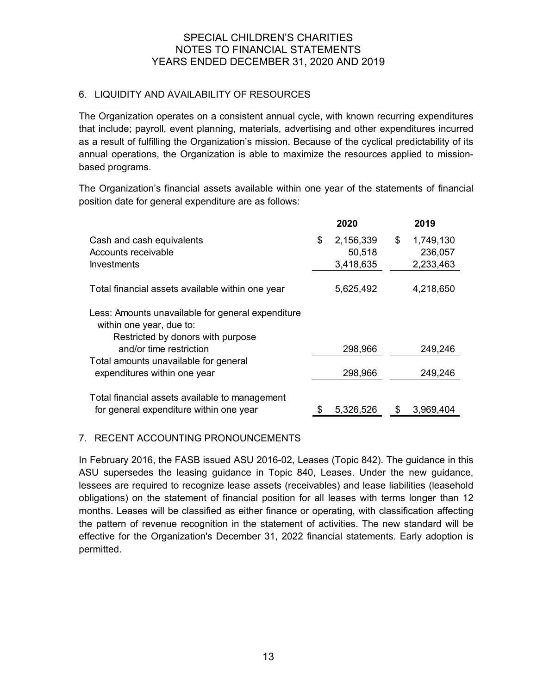#### 6. LIQUIDITY AND AVAILABILITY OF RESOURCES

The Organization operates on a consistent annual cycle, with known recurring expenditures that include; payroll, event planning, materials, advertising and other expenditures incurred as a result of fulfilling the Organization's mission. Because of the cyclical predictability of its annual operations, the Organization is able to maximize the resources applied to missionbased programs.

The Organization's financial assets available within one year of the statements of financial position date for general expenditure are as follows:

|                                                   | 2020            | 2019            |
|---------------------------------------------------|-----------------|-----------------|
| Cash and cash equivalents                         | \$<br>2,156,339 | \$<br>1,749,130 |
| Accounts receivable                               | 50,518          | 236,057         |
| <b>Investments</b>                                | 3,418,635       | 2,233,463       |
| Total financial assets available within one year  | 5,625,492       | 4,218,650       |
|                                                   |                 |                 |
| Less: Amounts unavailable for general expenditure |                 |                 |
| within one year, due to:                          |                 |                 |
| Restricted by donors with purpose                 |                 |                 |
| and/or time restriction                           | 298,966         | 249,246         |
| Total amounts unavailable for general             |                 |                 |
| expenditures within one year                      | 298,966         | 249,246         |
|                                                   |                 |                 |
| Total financial assets available to management    |                 |                 |
| for general expenditure within one year           | \$<br>5,326,526 | \$<br>3,969,404 |

# 7. RECENT ACCOUNTING PRONOUNCEMENTS

In February 2016, the FASB issued ASU 2016-02, Leases (Topic 842). The guidance in this ASU supersedes the leasing guidance in Topic 840, Leases. Under the new guidance, lessees are required to recognize lease assets (receivables) and lease liabilities (leasehold obligations) on the statement of financial position for all leases with terms longer than 12 months. Leases will be classified as either finance or operating, with classification affecting the pattern of revenue recognition in the statement of activities. The new standard will be effective for the Organization's December 31, 2022 financial statements. Early adoption is permitted.